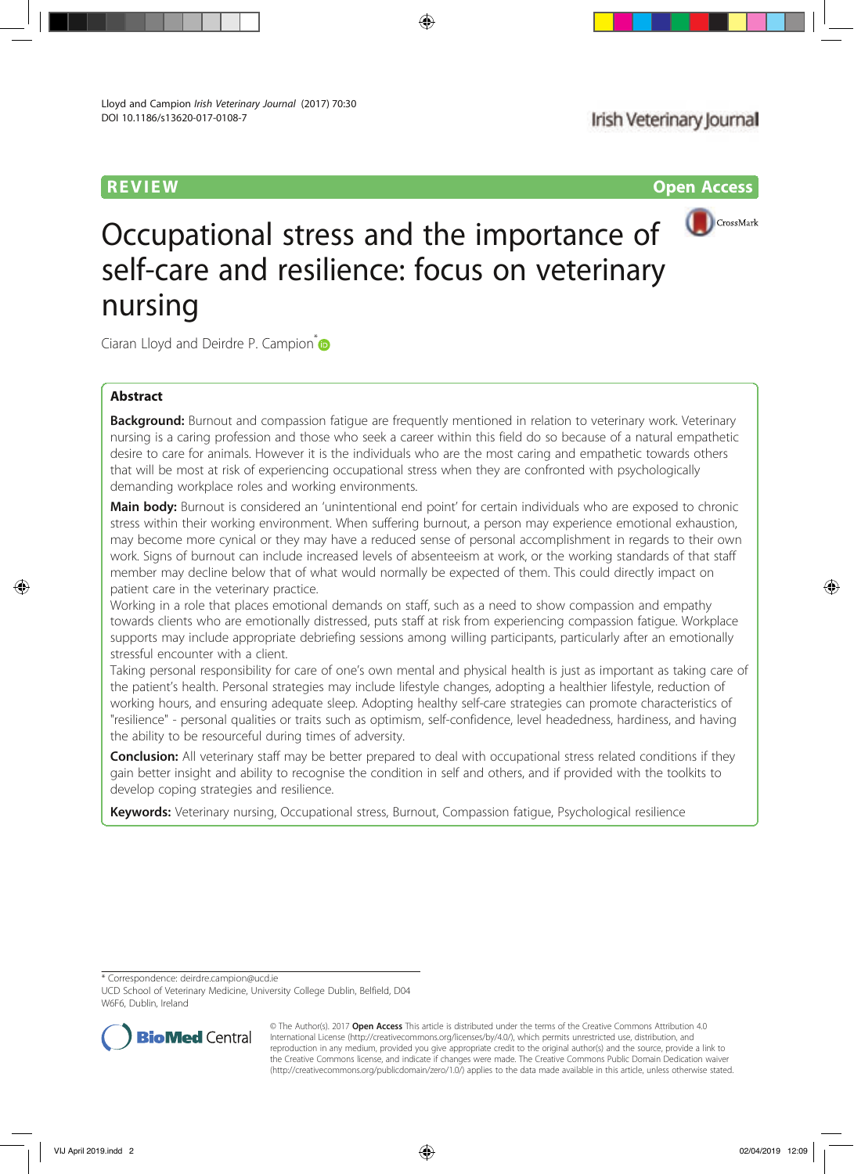REVIEW Open Access



# Occupational stress and the importance of self-care and resilience: focus on veterinary nursing

Ciaran Lloyd and Deirdre P. Campion<sup>®</sup>

# Abstract

Background: Burnout and compassion fatigue are frequently mentioned in relation to veterinary work. Veterinary nursing is a caring profession and those who seek a career within this field do so because of a natural empathetic desire to care for animals. However it is the individuals who are the most caring and empathetic towards others that will be most at risk of experiencing occupational stress when they are confronted with psychologically demanding workplace roles and working environments.

Main body: Burnout is considered an 'unintentional end point' for certain individuals who are exposed to chronic stress within their working environment. When suffering burnout, a person may experience emotional exhaustion, may become more cynical or they may have a reduced sense of personal accomplishment in regards to their own work. Signs of burnout can include increased levels of absenteeism at work, or the working standards of that staff member may decline below that of what would normally be expected of them. This could directly impact on patient care in the veterinary practice.

Working in a role that places emotional demands on staff, such as a need to show compassion and empathy towards clients who are emotionally distressed, puts staff at risk from experiencing compassion fatigue. Workplace supports may include appropriate debriefing sessions among willing participants, particularly after an emotionally stressful encounter with a client.

Taking personal responsibility for care of one's own mental and physical health is just as important as taking care of the patient's health. Personal strategies may include lifestyle changes, adopting a healthier lifestyle, reduction of working hours, and ensuring adequate sleep. Adopting healthy self-care strategies can promote characteristics of "resilience" - personal qualities or traits such as optimism, self-confidence, level headedness, hardiness, and having the ability to be resourceful during times of adversity.

**Conclusion:** All veterinary staff may be better prepared to deal with occupational stress related conditions if they gain better insight and ability to recognise the condition in self and others, and if provided with the toolkits to develop coping strategies and resilience.

Keywords: Veterinary nursing, Occupational stress, Burnout, Compassion fatique, Psychological resilience

\* Correspondence: deirdre.campion@ucd.ie

UCD School of Veterinary Medicine, University College Dublin, Belfield, D04 W6F6, Dublin, Ireland



© The Author(s). 2017 Open Access This article is distributed under the terms of the Creative Commons Attribution 4.0 International License (http://creativecommons.org/licenses/by/4.0/), which permits unrestricted use, distribution, and reproduction in any medium, provided you give appropriate credit to the original author(s) and the source, provide a link to the Creative Commons license, and indicate if changes were made. The Creative Commons Public Domain Dedication waiver (http://creativecommons.org/publicdomain/zero/1.0/) applies to the data made available in this article, unless otherwise stated.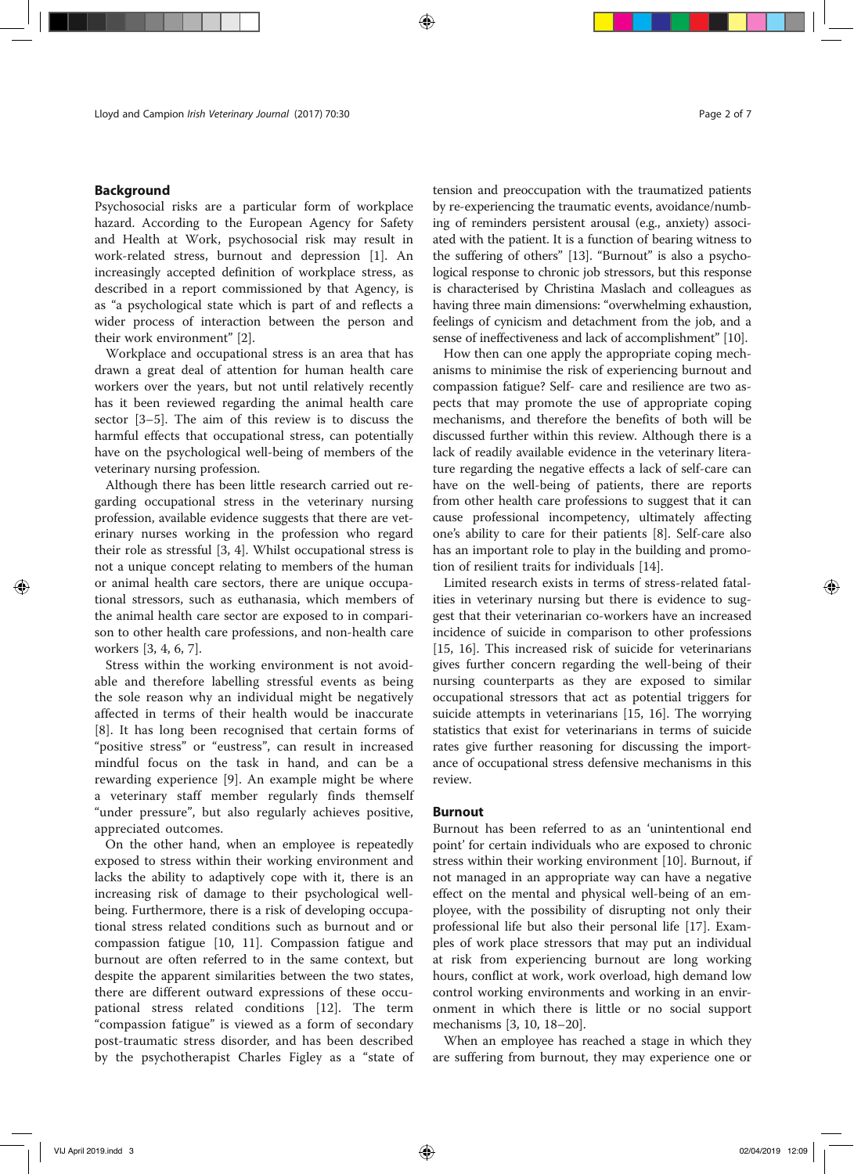# Background

Psychosocial risks are a particular form of workplace hazard. According to the European Agency for Safety and Health at Work, psychosocial risk may result in work-related stress, burnout and depression [1]. An increasingly accepted definition of workplace stress, as described in a report commissioned by that Agency, is as "a psychological state which is part of and reflects a wider process of interaction between the person and their work environment" [2].

Workplace and occupational stress is an area that has drawn a great deal of attention for human health care workers over the years, but not until relatively recently has it been reviewed regarding the animal health care sector [3–5]. The aim of this review is to discuss the harmful effects that occupational stress, can potentially have on the psychological well-being of members of the veterinary nursing profession.

Although there has been little research carried out regarding occupational stress in the veterinary nursing profession, available evidence suggests that there are veterinary nurses working in the profession who regard their role as stressful [3, 4]. Whilst occupational stress is not a unique concept relating to members of the human or animal health care sectors, there are unique occupational stressors, such as euthanasia, which members of the animal health care sector are exposed to in comparison to other health care professions, and non-health care workers [3, 4, 6, 7].

Stress within the working environment is not avoidable and therefore labelling stressful events as being the sole reason why an individual might be negatively affected in terms of their health would be inaccurate [8]. It has long been recognised that certain forms of "positive stress" or "eustress", can result in increased mindful focus on the task in hand, and can be a rewarding experience [9]. An example might be where a veterinary staff member regularly finds themself "under pressure", but also regularly achieves positive, appreciated outcomes.

On the other hand, when an employee is repeatedly exposed to stress within their working environment and lacks the ability to adaptively cope with it, there is an increasing risk of damage to their psychological wellbeing. Furthermore, there is a risk of developing occupational stress related conditions such as burnout and or compassion fatigue [10, 11]. Compassion fatigue and burnout are often referred to in the same context, but despite the apparent similarities between the two states, there are different outward expressions of these occupational stress related conditions [12]. The term "compassion fatigue" is viewed as a form of secondary post-traumatic stress disorder, and has been described by the psychotherapist Charles Figley as a "state of tension and preoccupation with the traumatized patients by re-experiencing the traumatic events, avoidance/numbing of reminders persistent arousal (e.g., anxiety) associated with the patient. It is a function of bearing witness to the suffering of others" [13]. "Burnout" is also a psychological response to chronic job stressors, but this response is characterised by Christina Maslach and colleagues as having three main dimensions: "overwhelming exhaustion, feelings of cynicism and detachment from the job, and a sense of ineffectiveness and lack of accomplishment" [10].

How then can one apply the appropriate coping mechanisms to minimise the risk of experiencing burnout and compassion fatigue? Self- care and resilience are two aspects that may promote the use of appropriate coping mechanisms, and therefore the benefits of both will be discussed further within this review. Although there is a lack of readily available evidence in the veterinary literature regarding the negative effects a lack of self-care can have on the well-being of patients, there are reports from other health care professions to suggest that it can cause professional incompetency, ultimately affecting one's ability to care for their patients [8]. Self-care also has an important role to play in the building and promotion of resilient traits for individuals [14].

Limited research exists in terms of stress-related fatalities in veterinary nursing but there is evidence to suggest that their veterinarian co-workers have an increased incidence of suicide in comparison to other professions [15, 16]. This increased risk of suicide for veterinarians gives further concern regarding the well-being of their nursing counterparts as they are exposed to similar occupational stressors that act as potential triggers for suicide attempts in veterinarians [15, 16]. The worrying statistics that exist for veterinarians in terms of suicide rates give further reasoning for discussing the importance of occupational stress defensive mechanisms in this review.

### Burnout

Burnout has been referred to as an 'unintentional end point' for certain individuals who are exposed to chronic stress within their working environment [10]. Burnout, if not managed in an appropriate way can have a negative effect on the mental and physical well-being of an employee, with the possibility of disrupting not only their professional life but also their personal life [17]. Examples of work place stressors that may put an individual at risk from experiencing burnout are long working hours, conflict at work, work overload, high demand low control working environments and working in an environment in which there is little or no social support mechanisms [3, 10, 18–20].

When an employee has reached a stage in which they are suffering from burnout, they may experience one or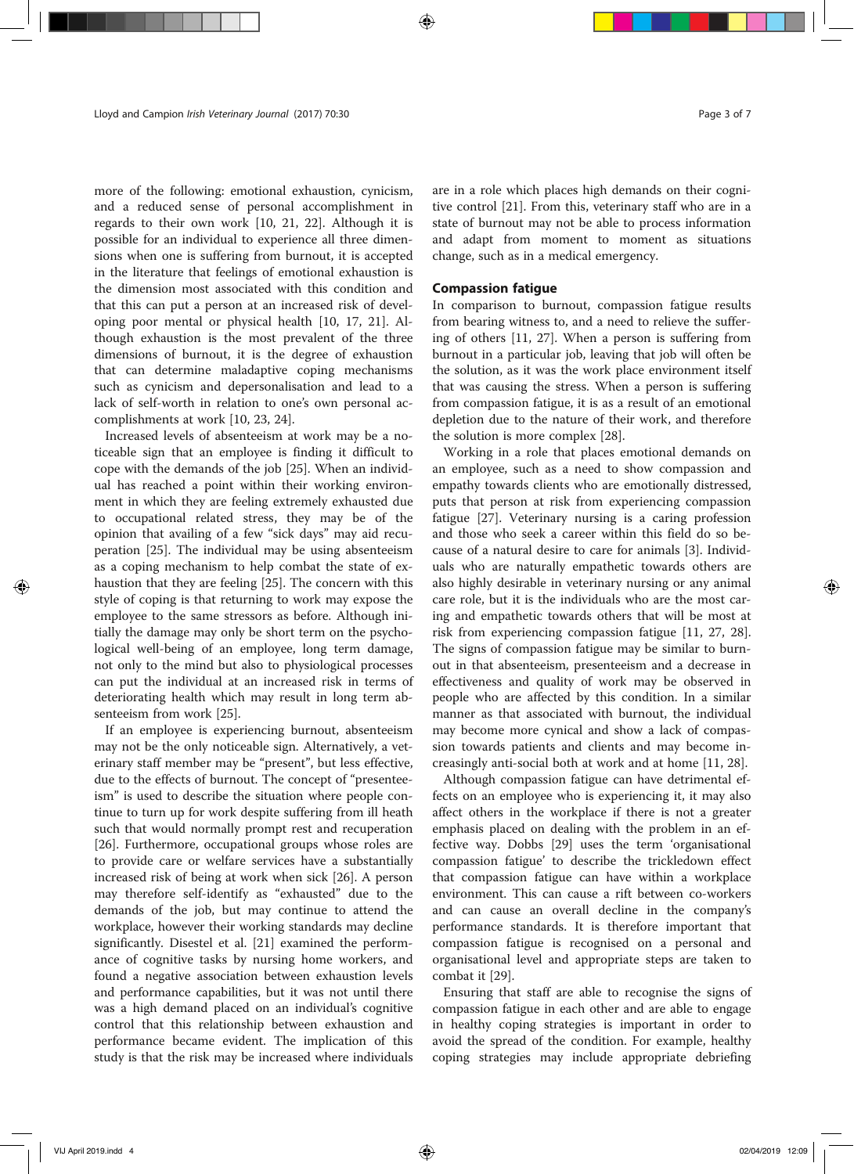more of the following: emotional exhaustion, cynicism, and a reduced sense of personal accomplishment in regards to their own work [10, 21, 22]. Although it is possible for an individual to experience all three dimensions when one is suffering from burnout, it is accepted in the literature that feelings of emotional exhaustion is the dimension most associated with this condition and that this can put a person at an increased risk of developing poor mental or physical health [10, 17, 21]. Although exhaustion is the most prevalent of the three dimensions of burnout, it is the degree of exhaustion that can determine maladaptive coping mechanisms such as cynicism and depersonalisation and lead to a lack of self-worth in relation to one's own personal accomplishments at work [10, 23, 24].

Increased levels of absenteeism at work may be a noticeable sign that an employee is finding it difficult to cope with the demands of the job [25]. When an individual has reached a point within their working environment in which they are feeling extremely exhausted due to occupational related stress, they may be of the opinion that availing of a few "sick days" may aid recuperation [25]. The individual may be using absenteeism as a coping mechanism to help combat the state of exhaustion that they are feeling [25]. The concern with this style of coping is that returning to work may expose the employee to the same stressors as before. Although initially the damage may only be short term on the psychological well-being of an employee, long term damage, not only to the mind but also to physiological processes can put the individual at an increased risk in terms of deteriorating health which may result in long term absenteeism from work [25].

If an employee is experiencing burnout, absenteeism may not be the only noticeable sign. Alternatively, a veterinary staff member may be "present", but less effective, due to the effects of burnout. The concept of "presenteeism" is used to describe the situation where people continue to turn up for work despite suffering from ill heath such that would normally prompt rest and recuperation [26]. Furthermore, occupational groups whose roles are to provide care or welfare services have a substantially increased risk of being at work when sick [26]. A person may therefore self-identify as "exhausted" due to the demands of the job, but may continue to attend the workplace, however their working standards may decline significantly. Disestel et al. [21] examined the performance of cognitive tasks by nursing home workers, and found a negative association between exhaustion levels and performance capabilities, but it was not until there was a high demand placed on an individual's cognitive control that this relationship between exhaustion and performance became evident. The implication of this study is that the risk may be increased where individuals are in a role which places high demands on their cognitive control [21]. From this, veterinary staff who are in a state of burnout may not be able to process information and adapt from moment to moment as situations change, such as in a medical emergency.

#### Compassion fatigue

In comparison to burnout, compassion fatigue results from bearing witness to, and a need to relieve the suffering of others [11, 27]. When a person is suffering from burnout in a particular job, leaving that job will often be the solution, as it was the work place environment itself that was causing the stress. When a person is suffering from compassion fatigue, it is as a result of an emotional depletion due to the nature of their work, and therefore the solution is more complex [28].

Working in a role that places emotional demands on an employee, such as a need to show compassion and empathy towards clients who are emotionally distressed, puts that person at risk from experiencing compassion fatigue [27]. Veterinary nursing is a caring profession and those who seek a career within this field do so because of a natural desire to care for animals [3]. Individuals who are naturally empathetic towards others are also highly desirable in veterinary nursing or any animal care role, but it is the individuals who are the most caring and empathetic towards others that will be most at risk from experiencing compassion fatigue [11, 27, 28]. The signs of compassion fatigue may be similar to burnout in that absenteeism, presenteeism and a decrease in effectiveness and quality of work may be observed in people who are affected by this condition. In a similar manner as that associated with burnout, the individual may become more cynical and show a lack of compassion towards patients and clients and may become increasingly anti-social both at work and at home [11, 28].

Although compassion fatigue can have detrimental effects on an employee who is experiencing it, it may also affect others in the workplace if there is not a greater emphasis placed on dealing with the problem in an effective way. Dobbs [29] uses the term 'organisational compassion fatigue' to describe the trickledown effect that compassion fatigue can have within a workplace environment. This can cause a rift between co-workers and can cause an overall decline in the company's performance standards. It is therefore important that compassion fatigue is recognised on a personal and organisational level and appropriate steps are taken to combat it [29].

Ensuring that staff are able to recognise the signs of compassion fatigue in each other and are able to engage in healthy coping strategies is important in order to avoid the spread of the condition. For example, healthy coping strategies may include appropriate debriefing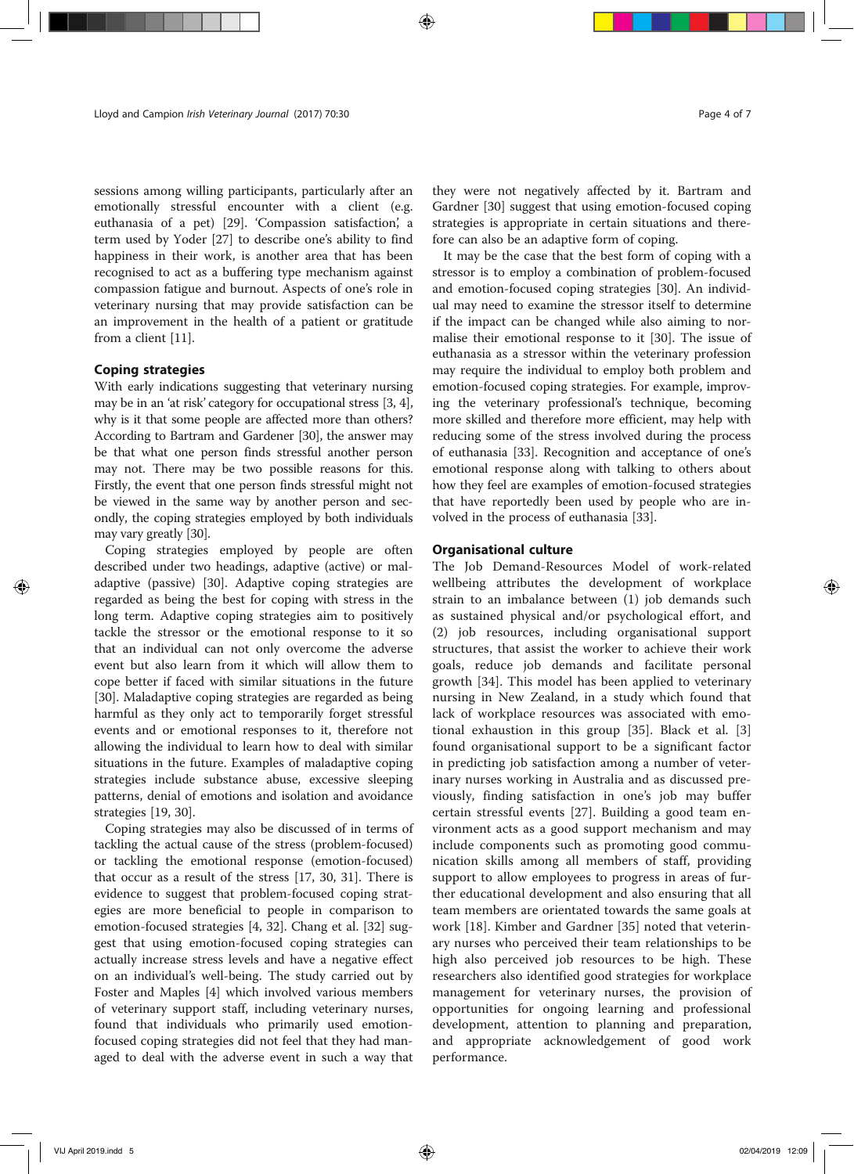sessions among willing participants, particularly after an emotionally stressful encounter with a client (e.g. euthanasia of a pet) [29]. 'Compassion satisfaction', a term used by Yoder [27] to describe one's ability to find happiness in their work, is another area that has been recognised to act as a buffering type mechanism against compassion fatigue and burnout. Aspects of one's role in veterinary nursing that may provide satisfaction can be an improvement in the health of a patient or gratitude from a client [11].

# Coping strategies

With early indications suggesting that veterinary nursing may be in an 'at risk' category for occupational stress [3, 4], why is it that some people are affected more than others? According to Bartram and Gardener [30], the answer may be that what one person finds stressful another person may not. There may be two possible reasons for this. Firstly, the event that one person finds stressful might not be viewed in the same way by another person and secondly, the coping strategies employed by both individuals may vary greatly [30].

Coping strategies employed by people are often described under two headings, adaptive (active) or maladaptive (passive) [30]. Adaptive coping strategies are regarded as being the best for coping with stress in the long term. Adaptive coping strategies aim to positively tackle the stressor or the emotional response to it so that an individual can not only overcome the adverse event but also learn from it which will allow them to cope better if faced with similar situations in the future [30]. Maladaptive coping strategies are regarded as being harmful as they only act to temporarily forget stressful events and or emotional responses to it, therefore not allowing the individual to learn how to deal with similar situations in the future. Examples of maladaptive coping strategies include substance abuse, excessive sleeping patterns, denial of emotions and isolation and avoidance strategies [19, 30].

Coping strategies may also be discussed of in terms of tackling the actual cause of the stress (problem-focused) or tackling the emotional response (emotion-focused) that occur as a result of the stress [17, 30, 31]. There is evidence to suggest that problem-focused coping strategies are more beneficial to people in comparison to emotion-focused strategies [4, 32]. Chang et al. [32] suggest that using emotion-focused coping strategies can actually increase stress levels and have a negative effect on an individual's well-being. The study carried out by Foster and Maples [4] which involved various members of veterinary support staff, including veterinary nurses, found that individuals who primarily used emotionfocused coping strategies did not feel that they had managed to deal with the adverse event in such a way that

they were not negatively affected by it. Bartram and Gardner [30] suggest that using emotion-focused coping strategies is appropriate in certain situations and therefore can also be an adaptive form of coping.

It may be the case that the best form of coping with a stressor is to employ a combination of problem-focused and emotion-focused coping strategies [30]. An individual may need to examine the stressor itself to determine if the impact can be changed while also aiming to normalise their emotional response to it [30]. The issue of euthanasia as a stressor within the veterinary profession may require the individual to employ both problem and emotion-focused coping strategies. For example, improving the veterinary professional's technique, becoming more skilled and therefore more efficient, may help with reducing some of the stress involved during the process of euthanasia [33]. Recognition and acceptance of one's emotional response along with talking to others about how they feel are examples of emotion-focused strategies that have reportedly been used by people who are involved in the process of euthanasia [33].

#### Organisational culture

The Job Demand-Resources Model of work-related wellbeing attributes the development of workplace strain to an imbalance between (1) job demands such as sustained physical and/or psychological effort, and (2) job resources, including organisational support structures, that assist the worker to achieve their work goals, reduce job demands and facilitate personal growth [34]. This model has been applied to veterinary nursing in New Zealand, in a study which found that lack of workplace resources was associated with emotional exhaustion in this group [35]. Black et al. [3] found organisational support to be a significant factor in predicting job satisfaction among a number of veterinary nurses working in Australia and as discussed previously, finding satisfaction in one's job may buffer certain stressful events [27]. Building a good team environment acts as a good support mechanism and may include components such as promoting good communication skills among all members of staff, providing support to allow employees to progress in areas of further educational development and also ensuring that all team members are orientated towards the same goals at work [18]. Kimber and Gardner [35] noted that veterinary nurses who perceived their team relationships to be high also perceived job resources to be high. These researchers also identified good strategies for workplace management for veterinary nurses, the provision of opportunities for ongoing learning and professional development, attention to planning and preparation, and appropriate acknowledgement of good work performance.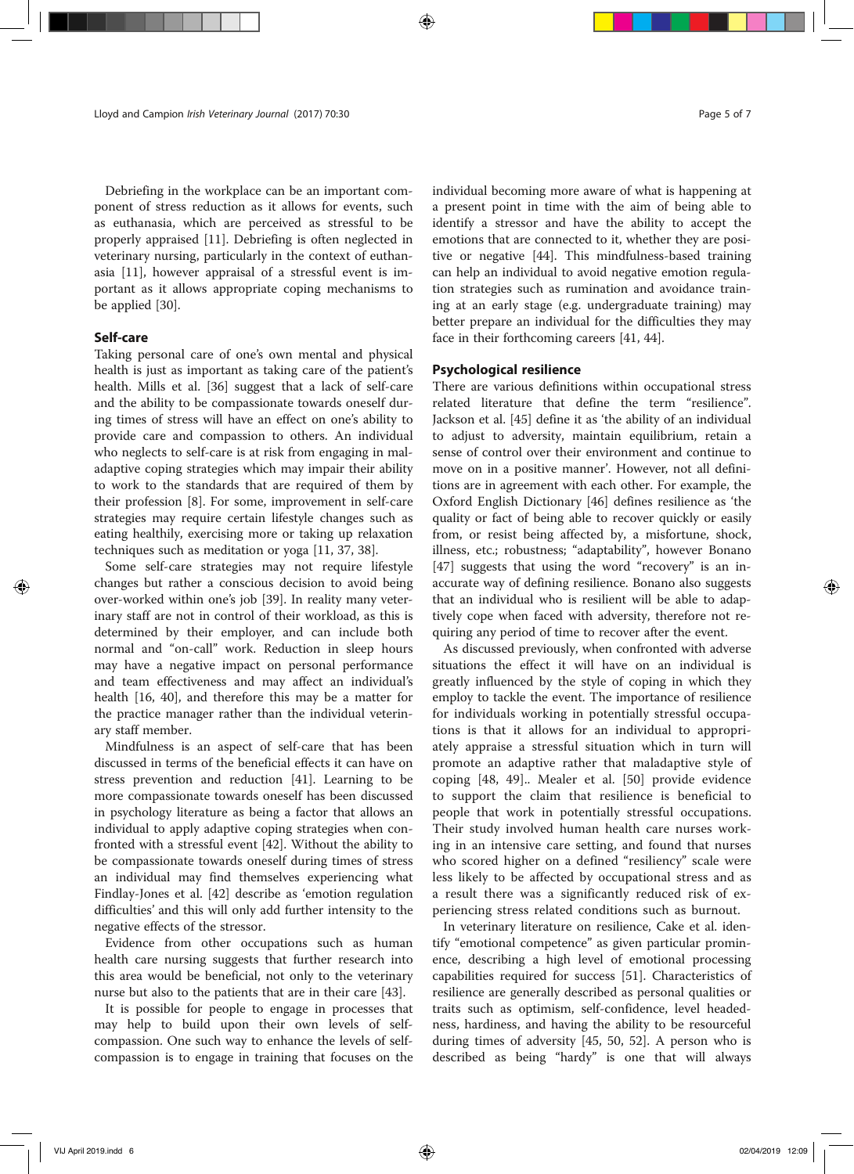Debriefing in the workplace can be an important component of stress reduction as it allows for events, such as euthanasia, which are perceived as stressful to be properly appraised [11]. Debriefing is often neglected in veterinary nursing, particularly in the context of euthanasia [11], however appraisal of a stressful event is important as it allows appropriate coping mechanisms to be applied [30].

#### Self-care

Taking personal care of one's own mental and physical health is just as important as taking care of the patient's health. Mills et al. [36] suggest that a lack of self-care and the ability to be compassionate towards oneself during times of stress will have an effect on one's ability to provide care and compassion to others. An individual who neglects to self-care is at risk from engaging in maladaptive coping strategies which may impair their ability to work to the standards that are required of them by their profession [8]. For some, improvement in self-care strategies may require certain lifestyle changes such as eating healthily, exercising more or taking up relaxation techniques such as meditation or yoga [11, 37, 38].

Some self-care strategies may not require lifestyle changes but rather a conscious decision to avoid being over-worked within one's job [39]. In reality many veterinary staff are not in control of their workload, as this is determined by their employer, and can include both normal and "on-call" work. Reduction in sleep hours may have a negative impact on personal performance and team effectiveness and may affect an individual's health [16, 40], and therefore this may be a matter for the practice manager rather than the individual veterinary staff member.

Mindfulness is an aspect of self-care that has been discussed in terms of the beneficial effects it can have on stress prevention and reduction [41]. Learning to be more compassionate towards oneself has been discussed in psychology literature as being a factor that allows an individual to apply adaptive coping strategies when confronted with a stressful event [42]. Without the ability to be compassionate towards oneself during times of stress an individual may find themselves experiencing what Findlay-Jones et al. [42] describe as 'emotion regulation difficulties' and this will only add further intensity to the negative effects of the stressor.

Evidence from other occupations such as human health care nursing suggests that further research into this area would be beneficial, not only to the veterinary nurse but also to the patients that are in their care [43].

It is possible for people to engage in processes that may help to build upon their own levels of selfcompassion. One such way to enhance the levels of selfcompassion is to engage in training that focuses on the individual becoming more aware of what is happening at a present point in time with the aim of being able to identify a stressor and have the ability to accept the emotions that are connected to it, whether they are positive or negative [44]. This mindfulness-based training can help an individual to avoid negative emotion regulation strategies such as rumination and avoidance training at an early stage (e.g. undergraduate training) may better prepare an individual for the difficulties they may face in their forthcoming careers [41, 44].

#### Psychological resilience

There are various definitions within occupational stress related literature that define the term "resilience". Jackson et al. [45] define it as 'the ability of an individual to adjust to adversity, maintain equilibrium, retain a sense of control over their environment and continue to move on in a positive manner'. However, not all definitions are in agreement with each other. For example, the Oxford English Dictionary [46] defines resilience as 'the quality or fact of being able to recover quickly or easily from, or resist being affected by, a misfortune, shock, illness, etc.; robustness; "adaptability", however Bonano [47] suggests that using the word "recovery" is an inaccurate way of defining resilience. Bonano also suggests that an individual who is resilient will be able to adaptively cope when faced with adversity, therefore not requiring any period of time to recover after the event.

As discussed previously, when confronted with adverse situations the effect it will have on an individual is greatly influenced by the style of coping in which they employ to tackle the event. The importance of resilience for individuals working in potentially stressful occupations is that it allows for an individual to appropriately appraise a stressful situation which in turn will promote an adaptive rather that maladaptive style of coping [48, 49].. Mealer et al. [50] provide evidence to support the claim that resilience is beneficial to people that work in potentially stressful occupations. Their study involved human health care nurses working in an intensive care setting, and found that nurses who scored higher on a defined "resiliency" scale were less likely to be affected by occupational stress and as a result there was a significantly reduced risk of experiencing stress related conditions such as burnout.

In veterinary literature on resilience, Cake et al. identify "emotional competence" as given particular prominence, describing a high level of emotional processing capabilities required for success [51]. Characteristics of resilience are generally described as personal qualities or traits such as optimism, self-confidence, level headedness, hardiness, and having the ability to be resourceful during times of adversity [45, 50, 52]. A person who is described as being "hardy" is one that will always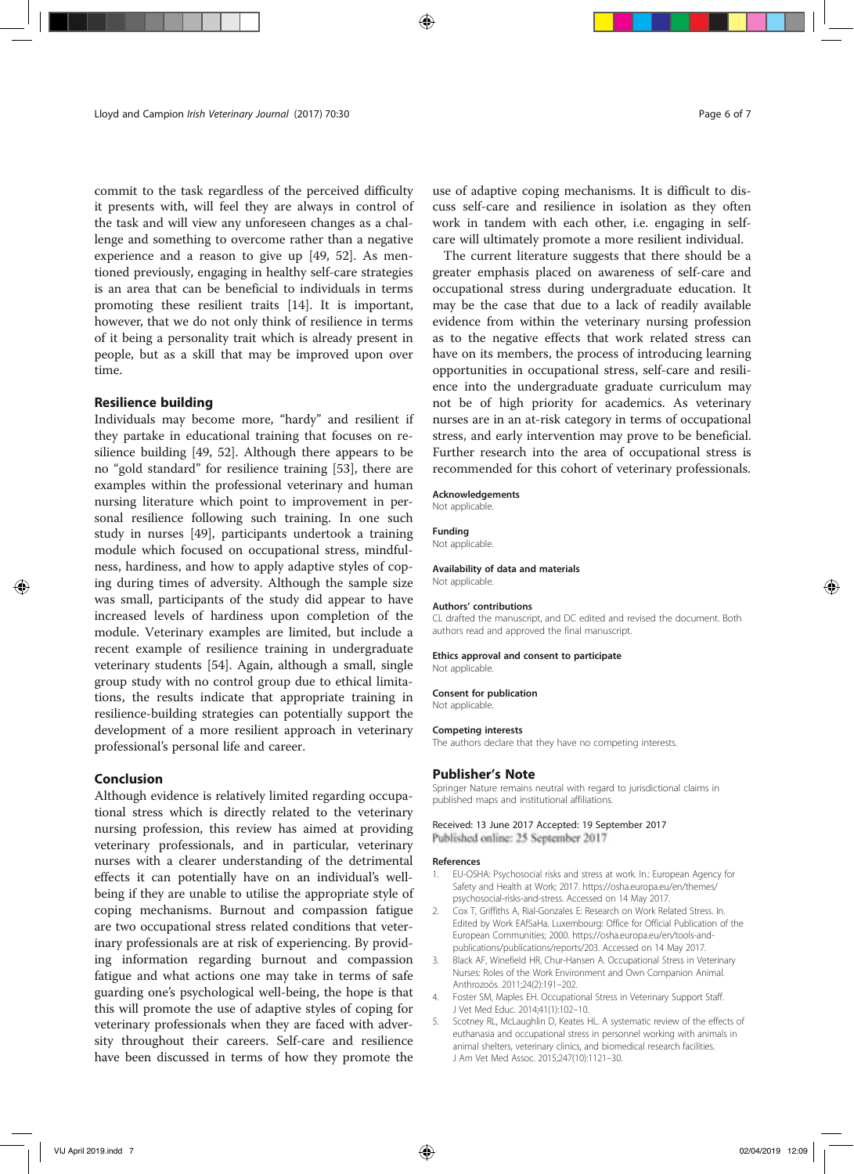commit to the task regardless of the perceived difficulty it presents with, will feel they are always in control of the task and will view any unforeseen changes as a challenge and something to overcome rather than a negative experience and a reason to give up [49, 52]. As mentioned previously, engaging in healthy self-care strategies is an area that can be beneficial to individuals in terms promoting these resilient traits [14]. It is important, however, that we do not only think of resilience in terms of it being a personality trait which is already present in people, but as a skill that may be improved upon over time.

#### Resilience building

Individuals may become more, "hardy" and resilient if they partake in educational training that focuses on resilience building [49, 52]. Although there appears to be no "gold standard" for resilience training [53], there are examples within the professional veterinary and human nursing literature which point to improvement in personal resilience following such training. In one such study in nurses [49], participants undertook a training module which focused on occupational stress, mindfulness, hardiness, and how to apply adaptive styles of coping during times of adversity. Although the sample size was small, participants of the study did appear to have increased levels of hardiness upon completion of the module. Veterinary examples are limited, but include a recent example of resilience training in undergraduate veterinary students [54]. Again, although a small, single group study with no control group due to ethical limitations, the results indicate that appropriate training in resilience-building strategies can potentially support the development of a more resilient approach in veterinary professional's personal life and career.

## Conclusion

Although evidence is relatively limited regarding occupational stress which is directly related to the veterinary nursing profession, this review has aimed at providing veterinary professionals, and in particular, veterinary nurses with a clearer understanding of the detrimental effects it can potentially have on an individual's wellbeing if they are unable to utilise the appropriate style of coping mechanisms. Burnout and compassion fatigue are two occupational stress related conditions that veterinary professionals are at risk of experiencing. By providing information regarding burnout and compassion fatigue and what actions one may take in terms of safe guarding one's psychological well-being, the hope is that this will promote the use of adaptive styles of coping for veterinary professionals when they are faced with adversity throughout their careers. Self-care and resilience have been discussed in terms of how they promote the

use of adaptive coping mechanisms. It is difficult to discuss self-care and resilience in isolation as they often work in tandem with each other, i.e. engaging in selfcare will ultimately promote a more resilient individual.

The current literature suggests that there should be a greater emphasis placed on awareness of self-care and occupational stress during undergraduate education. It may be the case that due to a lack of readily available evidence from within the veterinary nursing profession as to the negative effects that work related stress can have on its members, the process of introducing learning opportunities in occupational stress, self-care and resilience into the undergraduate graduate curriculum may not be of high priority for academics. As veterinary nurses are in an at-risk category in terms of occupational stress, and early intervention may prove to be beneficial. Further research into the area of occupational stress is recommended for this cohort of veterinary professionals.

## Acknowledgements

Not applicable.

# Funding

Not applicable.

Availability of data and materials Not applicable.

#### Authors' contributions

CL drafted the manuscript, and DC edited and revised the document. Both authors read and approved the final manuscript.

#### Ethics approval and consent to participate

Not applicable.

#### Consent for publication

Not applicable.

#### Competing interests

The authors declare that they have no competing interests.

#### Publisher's Note

Springer Nature remains neutral with regard to jurisdictional claims in published maps and institutional affiliations.

#### Received: 13 June 2017 Accepted: 19 September 2017 Published online: 25 September 2017

#### References

- 1. EU-OSHA: Psychosocial risks and stress at work. In.: European Agency for Safety and Health at Work; 2017. https://osha.europa.eu/en/themes/ psychosocial-risks-and-stress. Accessed on 14 May 2017.
- 2. Cox T, Griffiths A, Rial-Gonzales E: Research on Work Related Stress. In. Edited by Work EAfSaHa. Luxembourg: Office for Official Publication of the European Communities; 2000. https://osha.europa.eu/en/tools-andpublications/publications/reports/203. Accessed on 14 May 2017.
- 3. Black AF, Winefield HR, Chur-Hansen A. Occupational Stress in Veterinary Nurses: Roles of the Work Environment and Own Companion Animal. Anthrozoös. 2011;24(2):191–202.
- 4. Foster SM, Maples EH. Occupational Stress in Veterinary Support Staff. J Vet Med Educ. 2014;41(1):102–10.
- 5. Scotney RL, McLaughlin D, Keates HL. A systematic review of the effects of euthanasia and occupational stress in personnel working with animals in animal shelters, veterinary clinics, and biomedical research facilities. J Am Vet Med Assoc. 2015;247(10):1121–30.